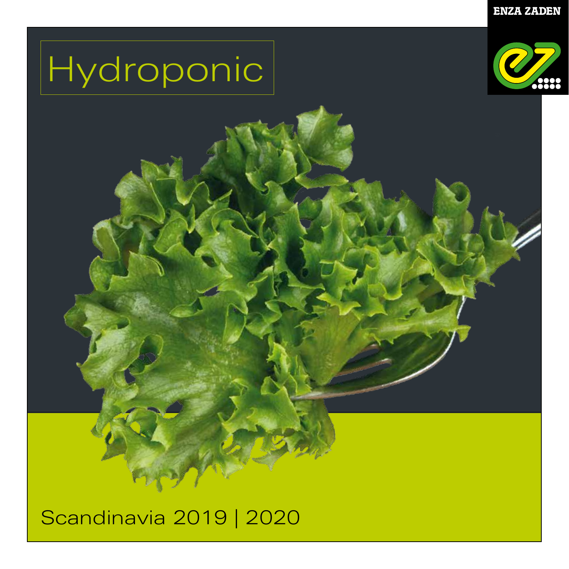# Hydroponic



# Scandinavia 2019 | 2020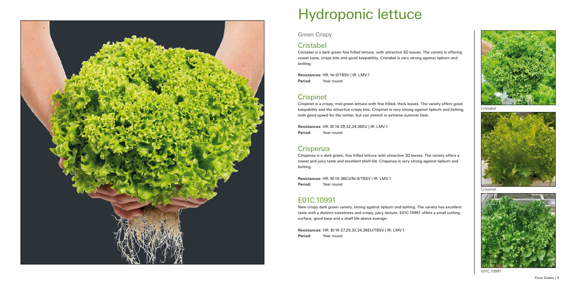#### Green Crispy

# **Cristabel**

Resistances: HR: Nr:0/TBSV | IR: LMV:1 Period: Year round

# **Crispinet**

Cristabel is a dark green fine frilled lettuce, with attractive 3D leaves. The variety is offering sweet taste, crispy bite and good keepability. Cristabel is very strong against tipburn and bolting.

Resistances: HR: Bl:16-29,32,34,36EU | IR: LMV:1 Period: Year round

# **Crispenza**

Resistances: HR: Bl:16-36EU/Nr:0/TBSV | IR: LMV:1 Period: Year round

Crispinet is a crispy, mid-green lettuce with fine frilled, thick leaves. The variety offers good keepability and the attractive crispy bite. Crispinet is very strong against tipburn and bolting, with good speed for the winter, but can stretch in extreme summer heat.

Crispenza is a dark green, fine frilled lettuce with attractive 3D leaves. The variety offers a sweet and juicy taste and excellent shelf life. Crispenza is very strong against tipburn and bolting.

# E01C.10991

New crispy dark green variety, strong against tipburn and bolting. The variety has excellent taste with a distinct sweetness and crispy, juicy texture. E01C.10991 offers a small cutting surface, good base and a shelf life above average.

Resistances: HR: Bl:16-27,29,32,34,36EU/TBSV | IR: LMV:1 Period: Year round



Cristabel





# Hydroponic lettuce

Crispinet



E01C.10991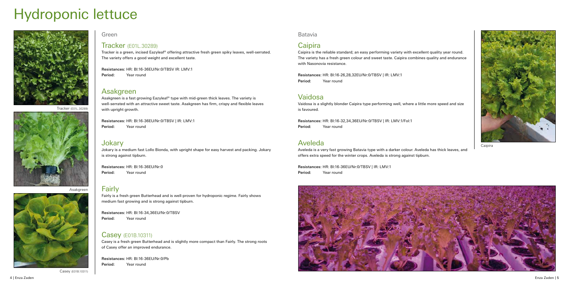



# Hydroponic lettuce









Caipira

Casey (E01B.10311)



Green

#### Tracker (E01L.30289)

Tracker is a green, incised Eazyleaf® offering attractive fresh green spiky leaves, well-serrated. The variety offers a good weight and excellent taste.

Resistances: HR: Bl:16-36EU/Nr:0/TBSV IR: LMV:1 Period: Year round

#### Asakgreen

Asakgreen is a fast growing Eazyleaf® type with mid-green thick leaves. The variety is well-serrated with an attractive sweet taste. Asakgreen has firm, crispy and flexible leaves with upright growth.

Resistances: HR: Bl:16-36EU/Nr:0/TBSV | IR: LMV:1 Period: Year round

#### Jokary

Jokary is a medium fast Lollo Bionda, with upright shape for easy harvest and packing. Jokary is strong against tipburn.

Resistances: HR: Bl:16-26,28,32EU/Nr:0/TBSV | IR: LMV:1 Period: Year round

Resistances: HR: Bl:16-36EU/Nr:0 Period: Year round

#### Fairly

Fairly is a fresh green Butterhead and is well-proven for hydroponic regime. Fairly shows medium fast growing and is strong against tipburn.

Resistances: HR: Bl:16-34,36EU/Nr:0/TBSV Period: Year round

#### Casey (E01B.10311)

Casey is a fresh green Butterhead and is slightly more compact than Fairly. The strong roots of Casey offer an improved endurance.

Resistances: HR: Bl:16-36EU/Nr:0/Pb Period: Year round

Batavia

# **Caipira**

Caipira is the reliable standard; an easy performing variety with excellent quality year round. The variety has a fresh green colour and sweet taste. Caipira combines quality and endurance with Nasonovia resistance.

## Vaidosa

Vaidosa is a slightly blonder Caipira type performing well, where a little more speed and size is favoured.

Resistances: HR: Bl:16-32,34,36EU/Nr:0/TBSV | IR: LMV:1/Fol:1 Period: Year round

### Aveleda

Aveleda is a very fast growing Batavia type with a darker colour. Aveleda has thick leaves, and offers extra speed for the winter crops. Aveleda is strong against tipburn.

Resistances: HR: Bl:16-36EU/Nr:0/TBSV | IR: LMV:1 Period: Year round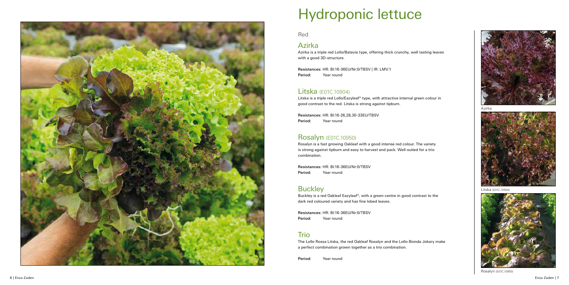

# Hydroponic lettuce

Azirka



Litska (E01C.10904)



Red

# Azirka

Resistances: HR: Bl:16-36EU/Nr:0/TBSV | IR: LMV:1 Period: Year round

Azirka is a triple red Lollo/Batavia type, offering thick crunchy, well tasting leaves with a good 3D-structure.

Resistances: HR: Bl:16-26,28,30-33EU/TBSV Period: Year round

## Litska (E01C.10904)

Resistances: HR: Bl:16-36EU/Nr:0/TBSV Period: Year round

## **Buckley**

Litska is a triple red Lollo/Eazyleaf® type, with attractive internal green colour in good contrast to the red. Litska is strong against tipburn.

Resistances: HR: Bl:16-36EU/Nr:0/TBSV Period: Year round

# **Trio**

## Rosalyn (E01C.10950)

Rosalyn is a fast growing Oakleaf with a good intense red colour. The variety is strong against tipburn and easy to harvest and pack. Well-suited for a trio combination.

Buckley is a red Oakleaf Eazyleaf®, with a green centre in good contrast to the dark red coloured variety and has fine lobed leaves.

The Lollo Rossa Litska, the red Oakleaf Rosalyn and the Lollo Bionda Jokary make a perfect combination grown together as a trio combination.

Period: Year round



Rosalyn (E01C.10950)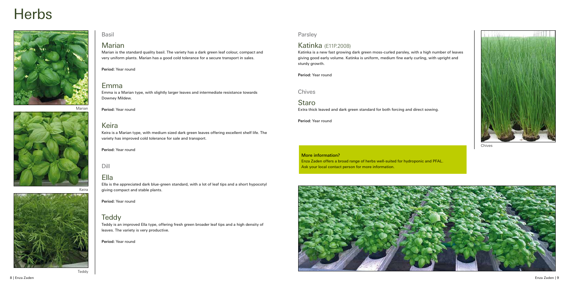### Basil

#### Marian

Marian is the standard quality basil. The variety has a dark green leaf colour, compact and very uniform plants. Marian has a good cold tolerance for a secure transport in sales.

Period: Year round

### Emma

Emma is a Marian type, with slightly larger leaves and intermediate resistance towards Downey Mildew.

## Keira

Keira is a Marian type, with medium sized dark green leaves offering excellent shelf life. The variety has improved cold tolerance for sale and transport.

Period: Year round

#### Dill

### Ella

Period: Year round Marian

> Ella is the appreciated dark blue-green standard, with a lot of leaf tips and a short hypocotyl giving compact and stable plants.

Enza Zaden offers a broad range of herbs well-suited for hydroponic and PFAL. Ask your local contact person for more information.



Period: Year round

## **Teddy**

Teddy is an improved Ella type, offering fresh green broader leaf tips and a high density of leaves. The variety is very productive.

Period: Year round

# **Herbs**







Parsley

# Katinka (E11P.2008)

Katinka is a new fast growing dark green moss-curled parsley, with a high number of leaves giving good early volume. Katinka is uniform, medium fine early curling, with upright and sturdy growth.

Period: Year round

Chives

Staro Extra thick leaved and dark green standard for both forcing and direct sowing.

Period: Year round

Teddy



Chives

#### More information?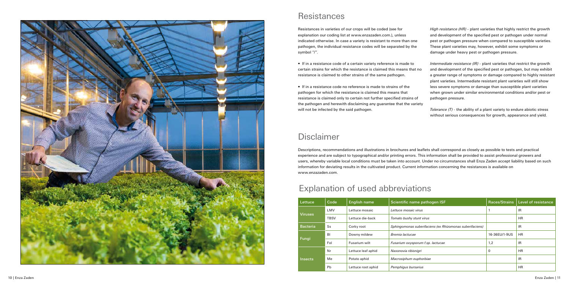| Lettuce         | Code        | <b>English name</b> | Scientific name pathogen ISF                             | Races/Strains | Level of resistance |
|-----------------|-------------|---------------------|----------------------------------------------------------|---------------|---------------------|
| <b>Viruses</b>  | LMV         | Lettuce mosaic      | Lettuce mosaic virus                                     |               | <b>IR</b>           |
|                 | <b>TBSV</b> | Lettuce die-back    | Tomato bushy stunt virus                                 |               | <b>HR</b>           |
| <b>Bacteria</b> | Ss          | Corky root          | Sphingomonas suberifaciens (ex Rhizomonas suberifaciens) |               | IR                  |
| Fungi           | <b>BI</b>   | Downy mildew        | Bremia lactucae                                          | 16-36EU/1-9US | <b>HR</b>           |
|                 | Fol         | Fusarium wilt       | Fusarium oxysporum f.sp. lactucae                        | 1,2           | <b>IR</b>           |
| Insects         | Nr          | Lettuce leaf aphid  | Nasonovia ribisnigri                                     | $\Omega$      | <b>HR</b>           |
|                 | Me          | Potato aphid        | Macrosiphum euphorbiae                                   |               | IR                  |
|                 | Pb          | Lettuce root aphid  | Pemphiqus bursarius                                      |               | <b>HR</b>           |

# Disclaimer

Descriptions, recommendations and illustrations in brochures and leaflets shall correspond as closely as possible to tests and practical experience and are subject to typographical and/or printing errors. This information shall be provided to assist professional growers and users, whereby variable local conditions must be taken into account. Under no circumstances shall Enza Zaden accept liability based on such information for deviating results in the cultivated product. Current information concerning the resistances is available on www.enzazaden.com.



# Resistances

Resistances in varieties of our crops will be coded (see for explanation our coding list at www.enzazaden.com.), unless indicated otherwise. In case a variety is resistant to more than one pathogen, the individual resistance codes will be separated by the symbol "/".

> *Tolerance (T)* - the ability of a plant variety to endure abiotic stress without serious consequences for growth, appearance and yield.

- If in a resistance code of a certain variety reference is made to certain strains for which the resistance is claimed this means that no resistance is claimed to other strains of the same pathogen.
- If in a resistance code no reference is made to strains of the pathogen for which the resistance is claimed this means that resistance is claimed only to certain not further specified strains of the pathogen and herewith disclaiming any guarantee that the variety will not be infected by the said pathogen.

*High resistance (HR) -* plant varieties that highly restrict the growth and development of the specified pest or pathogen under normal pest or pathogen pressure when compared to susceptible varieties. These plant varieties may, however, exhibit some symptoms or damage under heavy pest or pathogen pressure.

*Intermediate resistance (IR) -* plant varieties that restrict the growth and development of the specified pest or pathogen, but may exhibit a greater range of symptoms or damage compared to highly resistant plant varieties. Intermediate resistant plant varieties will still show less severe symptoms or damage than susceptible plant varieties when grown under similar environmental conditions and/or pest or pathogen pressure.

# Explanation of used abbreviations